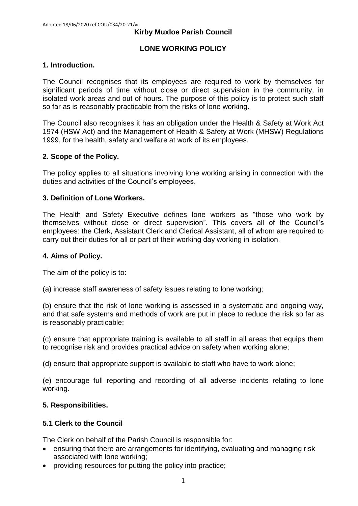#### **Kirby Muxloe Parish Council**

#### **LONE WORKING POLICY**

#### **1. Introduction.**

The Council recognises that its employees are required to work by themselves for significant periods of time without close or direct supervision in the community, in isolated work areas and out of hours. The purpose of this policy is to protect such staff so far as is reasonably practicable from the risks of lone working.

The Council also recognises it has an obligation under the Health & Safety at Work Act 1974 (HSW Act) and the Management of Health & Safety at Work (MHSW) Regulations 1999, for the health, safety and welfare at work of its employees.

#### **2. Scope of the Policy.**

The policy applies to all situations involving lone working arising in connection with the duties and activities of the Council's employees.

#### **3. Definition of Lone Workers.**

The Health and Safety Executive defines lone workers as "those who work by themselves without close or direct supervision". This covers all of the Council's employees: the Clerk, Assistant Clerk and Clerical Assistant, all of whom are required to carry out their duties for all or part of their working day working in isolation.

#### **4. Aims of Policy.**

The aim of the policy is to:

(a) increase staff awareness of safety issues relating to lone working;

(b) ensure that the risk of lone working is assessed in a systematic and ongoing way, and that safe systems and methods of work are put in place to reduce the risk so far as is reasonably practicable;

(c) ensure that appropriate training is available to all staff in all areas that equips them to recognise risk and provides practical advice on safety when working alone;

(d) ensure that appropriate support is available to staff who have to work alone;

(e) encourage full reporting and recording of all adverse incidents relating to lone working.

#### **5. Responsibilities.**

#### **5.1 Clerk to the Council**

The Clerk on behalf of the Parish Council is responsible for:

- ensuring that there are arrangements for identifying, evaluating and managing risk associated with lone working;
- providing resources for putting the policy into practice;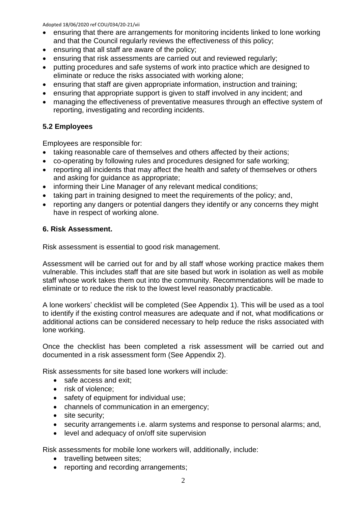#### Adopted 18/06/2020 ref COU/034/20-21/vii

- ensuring that there are arrangements for monitoring incidents linked to lone working and that the Council regularly reviews the effectiveness of this policy;
- ensuring that all staff are aware of the policy;
- ensuring that risk assessments are carried out and reviewed regularly;
- putting procedures and safe systems of work into practice which are designed to eliminate or reduce the risks associated with working alone;
- ensuring that staff are given appropriate information, instruction and training;
- ensuring that appropriate support is given to staff involved in any incident; and
- managing the effectiveness of preventative measures through an effective system of reporting, investigating and recording incidents.

## **5.2 Employees**

Employees are responsible for:

- taking reasonable care of themselves and others affected by their actions;
- co-operating by following rules and procedures designed for safe working;
- reporting all incidents that may affect the health and safety of themselves or others and asking for guidance as appropriate;
- informing their Line Manager of any relevant medical conditions;
- taking part in training designed to meet the requirements of the policy; and,
- reporting any dangers or potential dangers they identify or any concerns they might have in respect of working alone.

#### **6. Risk Assessment.**

Risk assessment is essential to good risk management.

Assessment will be carried out for and by all staff whose working practice makes them vulnerable. This includes staff that are site based but work in isolation as well as mobile staff whose work takes them out into the community. Recommendations will be made to eliminate or to reduce the risk to the lowest level reasonably practicable.

A lone workers' checklist will be completed (See Appendix 1). This will be used as a tool to identify if the existing control measures are adequate and if not, what modifications or additional actions can be considered necessary to help reduce the risks associated with lone working.

Once the checklist has been completed a risk assessment will be carried out and documented in a risk assessment form (See Appendix 2).

Risk assessments for site based lone workers will include:

- safe access and exit:
- risk of violence;
- safety of equipment for individual use;
- channels of communication in an emergency;
- site security;
- security arrangements i.e. alarm systems and response to personal alarms; and,
- level and adequacy of on/off site supervision

Risk assessments for mobile lone workers will, additionally, include:

- travelling between sites:
- reporting and recording arrangements;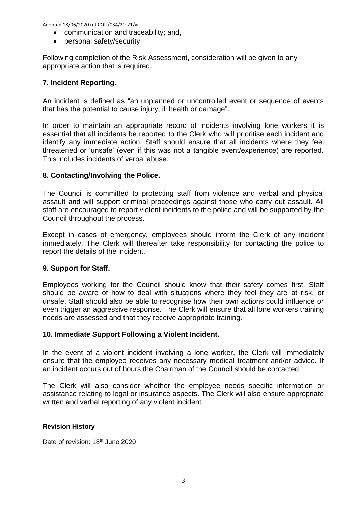Adopted 18/06/2020 ref COU/034/20-21/vii

- communication and traceability; and,
- personal safety/security.

Following completion of the Risk Assessment, consideration will be given to any appropriate action that is required.

#### **7. Incident Reporting.**

An incident is defined as "an unplanned or uncontrolled event or sequence of events that has the potential to cause injury, ill health or damage".

In order to maintain an appropriate record of incidents involving lone workers it is essential that all incidents be reported to the Clerk who will prioritise each incident and identify any immediate action. Staff should ensure that all incidents where they feel threatened or 'unsafe' (even if this was not a tangible event/experience) are reported. This includes incidents of verbal abuse.

#### **8. Contacting/Involving the Police.**

The Council is committed to protecting staff from violence and verbal and physical assault and will support criminal proceedings against those who carry out assault. All staff are encouraged to report violent incidents to the police and will be supported by the Council throughout the process.

Except in cases of emergency, employees should inform the Clerk of any incident immediately. The Clerk will thereafter take responsibility for contacting the police to report the details of the incident.

#### **9. Support for Staff.**

Employees working for the Council should know that their safety comes first. Staff should be aware of how to deal with situations where they feel they are at risk, or unsafe. Staff should also be able to recognise how their own actions could influence or even trigger an aggressive response. The Clerk will ensure that all lone workers training needs are assessed and that they receive appropriate training.

#### **10. Immediate Support Following a Violent Incident.**

In the event of a violent incident involving a lone worker, the Clerk will immediately ensure that the employee receives any necessary medical treatment and/or advice. If an incident occurs out of hours the Chairman of the Council should be contacted.

The Clerk will also consider whether the employee needs specific information or assistance relating to legal or insurance aspects. The Clerk will also ensure appropriate written and verbal reporting of any violent incident.

#### **Revision History**

Date of revision: 18<sup>th</sup> June 2020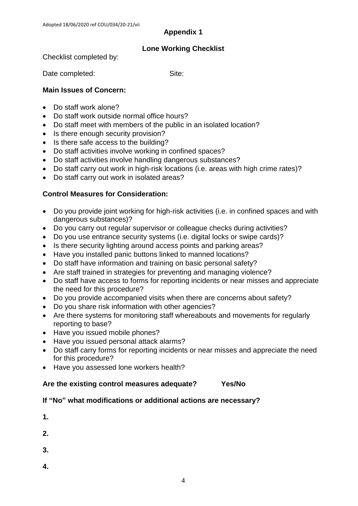## **Appendix 1**

## **Lone Working Checklist**

Checklist completed by:

Date completed: Site:

## **Main Issues of Concern:**

- Do staff work alone?
- Do staff work outside normal office hours?
- Do staff meet with members of the public in an isolated location?
- Is there enough security provision?
- Is there safe access to the building?
- Do staff activities involve working in confined spaces?
- Do staff activities involve handling dangerous substances?
- Do staff carry out work in high-risk locations (i.e. areas with high crime rates)?
- Do staff carry out work in isolated areas?

## **Control Measures for Consideration:**

- Do you provide joint working for high-risk activities (i.e. in confined spaces and with dangerous substances)?
- Do you carry out regular supervisor or colleague checks during activities?
- Do you use entrance security systems (i.e. digital locks or swipe cards)?
- Is there security lighting around access points and parking areas?
- Have you installed panic buttons linked to manned locations?
- Do staff have information and training on basic personal safety?
- Are staff trained in strategies for preventing and managing violence?
- Do staff have access to forms for reporting incidents or near misses and appreciate the need for this procedure?
- Do you provide accompanied visits when there are concerns about safety?
- Do you share risk information with other agencies?
- Are there systems for monitoring staff whereabouts and movements for regularly reporting to base?
- Have you issued mobile phones?
- Have you issued personal attack alarms?
- Do staff carry forms for reporting incidents or near misses and appreciate the need for this procedure?
- Have you assessed lone workers health?

#### **Are the existing control measures adequate? Yes/No**

## **If "No" what modifications or additional actions are necessary?**

| 1. |  |  |  |
|----|--|--|--|
| 2. |  |  |  |
| 3. |  |  |  |

**4.**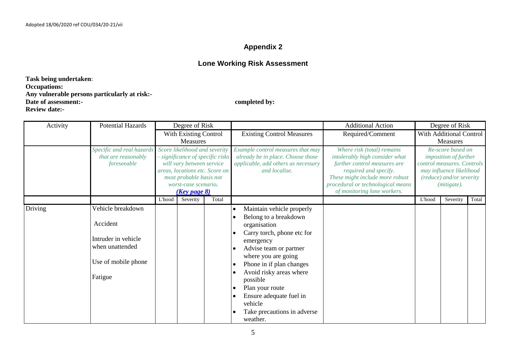## **Appendix 2**

## **Lone Working Risk Assessment**

**Task being undertaken: Occupations: Any vulnerable persons particularly at risk:- Date of assessment:**- completed by: **Review date:-**

| Activity | <b>Potential Hazards</b>                                                                                  |                                   | Degree of Risk                                                                                                                                                                                    |       |                                                                                                                                                                                                                                                                                                                                                    | <b>Additional Action</b>                                                                                                                                                                                                     |                                     | Degree of Risk                                                                                                                                                  |       |
|----------|-----------------------------------------------------------------------------------------------------------|-----------------------------------|---------------------------------------------------------------------------------------------------------------------------------------------------------------------------------------------------|-------|----------------------------------------------------------------------------------------------------------------------------------------------------------------------------------------------------------------------------------------------------------------------------------------------------------------------------------------------------|------------------------------------------------------------------------------------------------------------------------------------------------------------------------------------------------------------------------------|-------------------------------------|-----------------------------------------------------------------------------------------------------------------------------------------------------------------|-------|
|          |                                                                                                           | With Existing Control<br>Measures |                                                                                                                                                                                                   |       | <b>Existing Control Measures</b>                                                                                                                                                                                                                                                                                                                   | Required/Comment                                                                                                                                                                                                             | With Additional Control<br>Measures |                                                                                                                                                                 |       |
|          | Specific and real hazards<br>that are reasonably<br>foreseeable                                           |                                   | Score likelihood and severity<br>significance of specific risks<br>will vary between service<br>areas, locations etc. Score on<br>most probable basis not<br>worst-case scenario.<br>(Key page 8) |       | Example control measures that may<br>already be in place. Choose those<br>applicable, add others as necessary<br>and localise.                                                                                                                                                                                                                     | Where risk (total) remains<br>intolerably high consider what<br>further control measures are<br>required and specify.<br>These might include more robust<br>procedural or technological means<br>of monitoring lone workers. |                                     | Re-score based on<br><i>imposition of further</i><br>control measures. Controls<br>may influence likelihood<br>(reduce) and/or severity<br>( <i>mitigate</i> ). |       |
|          |                                                                                                           | L'hood                            | Severity                                                                                                                                                                                          | Total |                                                                                                                                                                                                                                                                                                                                                    |                                                                                                                                                                                                                              | L'hood                              | Severity                                                                                                                                                        | Total |
| Driving  | Vehicle breakdown<br>Accident<br>Intruder in vehicle<br>when unattended<br>Use of mobile phone<br>Fatigue |                                   |                                                                                                                                                                                                   |       | Maintain vehicle properly<br>$\bullet$<br>Belong to a breakdown<br>organisation<br>Carry torch, phone etc for<br>emergency<br>Advise team or partner<br>where you are going<br>Phone in if plan changes<br>Avoid risky areas where<br>possible<br>Plan your route<br>Ensure adequate fuel in<br>vehicle<br>Take precautions in adverse<br>weather. |                                                                                                                                                                                                                              |                                     |                                                                                                                                                                 |       |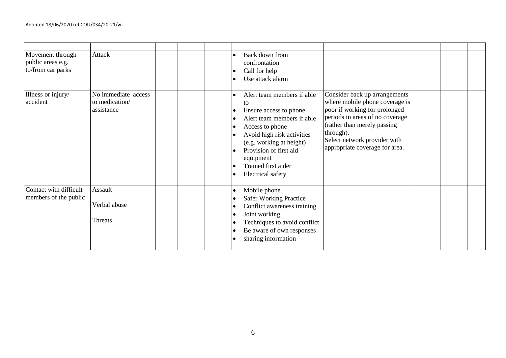| Movement through<br>public areas e.g.<br>to/from car parks | Attack                                              | Back down from<br>$\bullet$<br>confrontation<br>Call for help<br>Use attack alarm                                                                                                                                                                        |                                                                                                                                                                                                                                                   |  |  |
|------------------------------------------------------------|-----------------------------------------------------|----------------------------------------------------------------------------------------------------------------------------------------------------------------------------------------------------------------------------------------------------------|---------------------------------------------------------------------------------------------------------------------------------------------------------------------------------------------------------------------------------------------------|--|--|
| Illness or injury/<br>accident                             | No immediate access<br>to medication/<br>assistance | Alert team members if able<br>to<br>Ensure access to phone<br>Alert team members if able<br>Access to phone<br>Avoid high risk activities<br>(e.g. working at height)<br>Provision of first aid<br>equipment<br>Trained first aider<br>Electrical safety | Consider back up arrangements<br>where mobile phone coverage is<br>poor if working for prolonged<br>periods in areas of no coverage<br>(rather than merely passing<br>through).<br>Select network provider with<br>appropriate coverage for area. |  |  |
| Contact with difficult<br>members of the public            | Assault<br>Verbal abuse<br>Threats                  | Mobile phone<br><b>Safer Working Practice</b><br>Conflict awareness training<br>Joint working<br>Techniques to avoid conflict<br>Be aware of own responses<br>sharing information                                                                        |                                                                                                                                                                                                                                                   |  |  |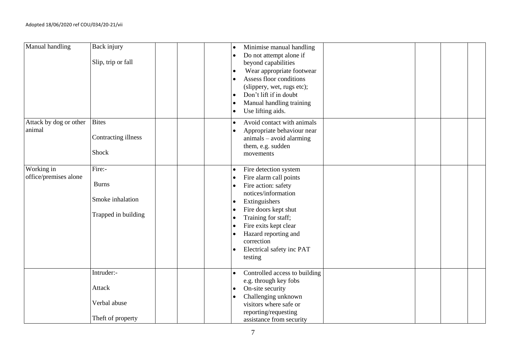| Manual handling                     | Back injury<br>Slip, trip or fall                                 | Minimise manual handling<br>$\bullet$<br>Do not attempt alone if<br>$\bullet$<br>beyond capabilities<br>Wear appropriate footwear<br>$\bullet$<br>Assess floor conditions<br>$\bullet$<br>(slippery, wet, rugs etc);<br>Don't lift if in doubt<br>$\bullet$<br>Manual handling training<br>$\bullet$<br>Use lifting aids.<br>$\bullet$             |
|-------------------------------------|-------------------------------------------------------------------|----------------------------------------------------------------------------------------------------------------------------------------------------------------------------------------------------------------------------------------------------------------------------------------------------------------------------------------------------|
| Attack by dog or other<br>animal    | <b>Bites</b><br>Contracting illness<br>Shock                      | Avoid contact with animals<br>$\bullet$<br>Appropriate behaviour near<br>$\bullet$<br>$animals - avoid~alarming$<br>them, e.g. sudden<br>movements                                                                                                                                                                                                 |
| Working in<br>office/premises alone | Fire:-<br><b>Burns</b><br>Smoke inhalation<br>Trapped in building | Fire detection system<br>$\bullet$<br>Fire alarm call points<br>Fire action: safety<br>$\bullet$<br>notices/information<br>Extinguishers<br>$\bullet$<br>Fire doors kept shut<br>$\bullet$<br>Training for staff;<br>$\bullet$<br>Fire exits kept clear<br>Hazard reporting and<br>correction<br>Electrical safety inc PAT<br>$\bullet$<br>testing |
|                                     | Intruder:-<br>Attack<br>Verbal abuse<br>Theft of property         | Controlled access to building<br>$\bullet$<br>e.g. through key fobs<br>On-site security<br>$\bullet$<br>Challenging unknown<br>$\bullet$<br>visitors where safe or<br>reporting/requesting<br>assistance from security                                                                                                                             |